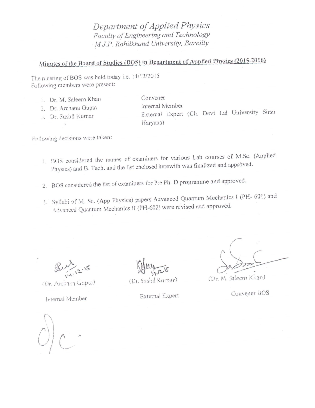Department of Applied Physics Faculty of Engineering and Technology M.J.P. Rohilkhand University, Bareilly

## Minutes of the Board of Studies (BOS) in Department of Applied Physics (2015-2016)

The meeting of BOS was held today i.e. 14/12/2015 Following members were present:

- 1. Dr. M. Saleem Khan
- 2. Dr. Archana Gupta
- 5. Dr. Sushil Kumar

Convener Internal Member External Expert (Ch. Devi Lal University Sirsa Haryana)

Following decisions were taken:

- 1. BOS considered the names of examiners for various Lab courses of M.Sc. (Applied Physics) and B. Tech. and the list enclosed herewith was finalized and approved.
- 2. BOS considered the list of examiners for Pre Ph. D programme and approved.
- 3. Syllabi of M. Sc. (App Physics) papers Advanced Quantum Mechanics I (PH- 601) and Advanced Quantum Mechanics II (PH-602) were revised and approved.

(Dr. Archana Gupta)

Internal Member

(Dr. Sushil Kumar)

(Dr. M. Saleem Khan)

Convener BOS

External Expert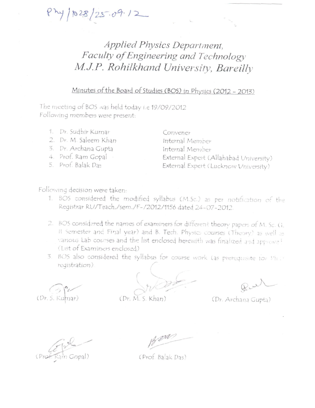$4/1028/25.09.12$ 

## Applied Physics Department, Faculty of Engineering and Technology M.J.P. Rohilkhand University, Bareilly

## Minutes of the Board of Studies (BOS) in Physics (2012 - 2013)

The meeting of BOS was held today i.e 19/09/2012 Following members were present:

- 1. Dr. Sudhir Kumar
- 2. Dr. M. Saleem Khan
- 3. Dr. Archana Gupta
- 4. Prof. Ram Gopal
- 5. Prof. Balak Das

Convener Internal Member Internal Member External Expert (Allahabad University) External Expert (Lucknow University)

Following decision were taken:

- 1. BOS considered the modified syllabus (M.Sc.) as per notification of the Registrar RU/Teach,/sem./F-/2012/1156 dated 24-07-2012.
- 2. BOS considered the names of examiners for different theory papers of M. Sc. (1, II Semester and Final year) and B. Tech. Physics courses (Theory) as well as various Lab courses and the list enclosed herewith was finalized and approval (List of Examiners enclosed)
- 3. BOS also considered the syllabus for course work (as prerequisite for Philiregistration).

(Dr. S. Kumar)

(Dr. M. S. Khar

(Dr. Archana Gupta)

(Prof. Balak Das)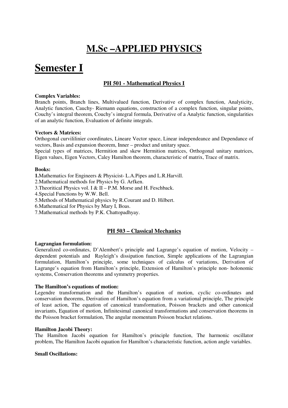## **M.Sc –APPLIED PHYSICS**

# **Semester I**

## **PH 501 - Mathematical Physics I**

## **Complex Variables:**

Branch points, Branch lines, Multivalued function, Derivative of complex function, Analyticity, Analytic function, Cauchy- Riemann equations, construction of a complex function, singular points, Couchy's integral theorem, Couchy's integral formula, Derivative of a Analytic function, singularities of an analytic function, Evaluation of definite integrals.

## **Vectors & Matrices:**

Orthogonal curvililinier coordinates, Lineare Vector space, Linear independeance and Dependance of vectors, Basis and expansion theorem, Inner – product and unitary space.

Special types of matrices, Hermition and skew Hermition matrices, Orthogonal unitary matrices, Eigen values, Eigen Vectors, Caley Hamilton theorem, characteristic of matrix, Trace of matrix.

## **Books:**

**1.**Mathematics for Engineers & Physicist- L.A.Pipes and L.R.Harvill.

2.Mathematical methods for Physics by G. Arfken.

3. Theoritical Physics vol. I &  $II - P.M$ . Morse and H. Feschback.

4.Special Functions by W.W. Bell.

5.Methods of Mathematical physics by R.Courant and D. Hilbert.

6.Mathematical for Physics by Mary I, Boas.

7.Mathematical methods by P.K. Chattopadhyay.

## **PH 503 – Classical Mechanics**

## **Lagrangian formulation:**

Generalized co-ordinates, D'Alembert's principle and Lagrange's equation of motion, Velocity – dependent potentials and Rayleigh's dissipation function, Simple applications of the Lagrangian formulation, Hamilton's principle, some techniques of calculus of variations, Derivation of Lagrange's equation from Hamilton's principle, Extension of Hamilton's principle non- holonomic systems, Conservation theorems and symmetry properties.

## **The Hamilton's equations of motion:**

Legendre transformation and the Hamilton's equation of motion, cyclic co-ordinates and conservation theorems, Derivation of Hamilton's equation from a variational principle, The principle of least action, The equation of canonical transformation, Poisson brackets and other canonical invariants, Equation of motion, Infinitesimal canonical transformations and conservation theorems in the Poisson bracket formulation, The angular momentum Poisson bracket relations.

## **Hamilton Jacobi Theory:**

The Hamilton Jacobi equation for Hamilton's principle function, The harmonic oscillator problem, The Hamilton Jacobi equation for Hamilton's characteristic function, action angle variables.

## **Small Oscillations:**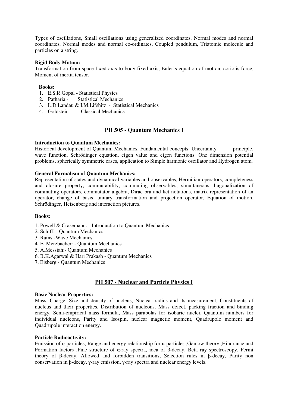Types of oscillations, Small oscillations using generalized coordinates, Normal modes and normal coordinates, Normal modes and normal co-ordinates, Coupled pendulum, Triatomic molecule and particles on a string.

## **Rigid Body Motion:**

Transformation from space fixed axis to body fixed axis, Euler's equation of motion, coriolis force, Moment of inertia tensor.

## **Books:**

- 1. E.S.R.Gopal Statistical Physics
- 2. Patharia Statistical Mechanics
- 3. L.D.Landau & I.M.Lifshitz Statistical Mechanics
- 4. Goldstein Classical Mechanics

## **PH 505 - Quantum Mechanics I**

#### **Introduction to Quantum Mechanics:**

Historical development of Quantum Mechanics, Fundamental concepts: Uncertainty principle, wave function, Schrödinger equation, eigen value and eigen functions. One dimension potential problems, spherically symmetric cases, application to Simple harmonic oscillator and Hydrogen atom.

## **General Formalism of Quantum Mechanics:**

Representation of states and dynamical variables and observables, Hermitian operators, completeness and closure property, commutability, commuting observables, simultaneous diagonalization of commuting operators, commutator algebra, Dirac bra and ket notations, matrix representation of an operator, change of basis, unitary transformation and projection operator, Equation of motion, Schrödinger, Heisenberg and interaction pictures.

#### **Books:**

- 1. Powell & Crasemann: Introduction to Quantum Mechanics
- 2. Schiff: Quantum Mechanics
- 3. Rains:-Wave Mechanics
- 4. E. Merzbacher: Quantum Mechanics
- 5. A.Messiah:- Quantum Mechanics
- 6. B.K.Agarwal & Hari Prakash Quantum Mechanics
- 7. Eisberg Quantum Mechanics

## **PH 507 - Nuclear and Particle Physics I**

#### **Basic Nuclear Properties:**

Mass, Charge, Size and density of nucleus, Nuclear radius and its measurement, Constituents of nucleus and their properties, Distribution of nucleons. Mass defect, packing fraction and binding energy, Semi-empirical mass formula, Mass parabolas for isobaric nuclei, Quantum numbers for individual nucleons, Parity and Isospin, nuclear magnetic moment, Quadrupole moment and Quadrupole interaction energy.

## **Particle Radioactivity:**

Emission of α-particles, Range and energy relationship for α-particles ,Gamow theory ,Hindrance and Formation factors ,Fine structure of α-ray spectra, idea of β-decay, Beta ray spectroscopy, Fermi theory of β-decay. Allowed and forbidden transitions, Selection rules in β-decay, Parity non conservation in β-decay, γ-ray emission, γ-ray spectra and nuclear energy levels.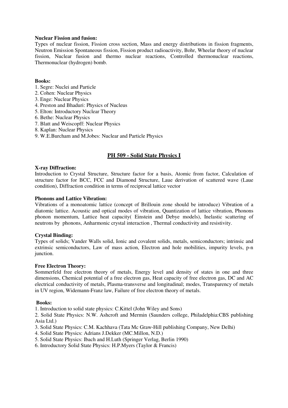## **Nuclear Fission and fusion:**

Types of nuclear fission, Fission cross section, Mass and energy distributions in fission fragments, Neutron Emission Spontaneous fission, Fission product radioactivity, Bohr, Wheelar theory of nuclear fission, Nuclear fusion and thermo nuclear reactions, Controlled thermonuclear reactions, Thermonuclear (hydrogen) bomb.

## **Books:**

- 1. Segre: Nuclei and Particle
- 2. Cohen: Nuclear Physics
- 3. Enge: Nuclear Physics
- 4. Preston and Bhaduri: Physics of Nucleus
- 5. Elton: Introductory Nuclear Theory
- 6. Bethe: Nuclear Physics
- 7. Blatt and Weiscopff: Nuclear Physics
- 8. Kaplan: Nuclear Physics
- 9. W.E.Burcham and M.Jobes: Nuclear and Particle Physics

## **PH 509 - Solid State Physics I**

## **X-ray Diffraction:**

Introduction to Crystal Structure, Structure factor for a basis, Atomic from factor, Calculation of structure factor for BCC, FCC and Diamond Structure, Laue derivation of scattered wave (Laue condition), Diffraction condition in terms of reciprocal lattice vector

## **Phonons and Lattice Vibration:**

Vibrations of a monoatomic lattice (concept of Brillouin zone should be introduce) Vibration of a diatomic lattice. Acoustic and optical modes of vibration, Quantization of lattice vibration, Phonons phonon momentum, Lattice heat capacity( Einstein and Debye models), Inelastic scattering of neutrons by phonons, Anharmonic crystal interaction , Thermal conductivity and resistivity.

## **Crystal Binding:**

Types of solids; Vander Walls solid, Ionic and covalent solids, metals, semiconductors; intrinsic and extrinsic semiconductors, Law of mass action, Electron and hole mobilities, impurity levels, p-n junction.

## **Free Electron Theory:**

Sommerfeld free electron theory of metals, Energy level and density of states in one and three dimensions, Chemical potential of a free electron gas, Heat capacity of free electron gas, DC and AC electrical conductivity of metals, Plasma-transverse and longitudinal; modes, Transparency of metals in UV region, Widemann-Franz law, Failure of free electron theory of metals.

## **Books:**

1. Introduction to solid state physics: C.Kittel (John Wiley and Sons)

2. Solid State Physics: N.W. Ashcroft and Mermin (Saunders college, Philadelphia:CBS publishing Asia Ltd.)

- 3. Solid State Physics: C.M. Kachhava (Tata Mc Graw-Hill publishing Company, New Delhi)
- 4. Solid State Physics: Adrians J.Dekker (MC.Millon, N.D.)
- 5. Solid State Physics: Ibach and H.Luth (Springer Verlag, Berlin 1990)
- 6. Introductory Solid State Physics: H.P.Myers (Taylor & Francis)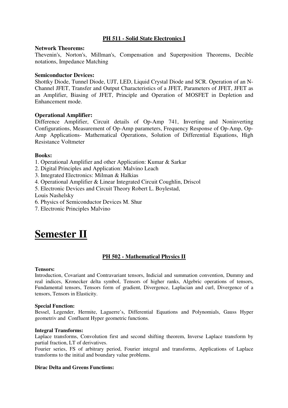## **PH 511 - Solid State Electronics I**

## **Network Theorems:**

Thevenin's, Norton's, Millman's, Compensation and Superposition Theorems, Decible notations, Impedance Matching

## **Semiconductor Devices:**

Shottky Diode, Tunnel Diode, UJT, LED, Liquid Crystal Diode and SCR. Operation of an N-Channel JFET, Transfer and Output Characteristics of a JFET, Parameters of JFET, JFET as an Amplifier, Biasing of JFET, Principle and Operation of MOSFET in Depletion and Enhancement mode.

## **Operational Amplifier:**

Difference Amplifier, Circuit details of Op-Amp 741, Inverting and Noninverting Configurations, Measurement of Op-Amp parameters, Frequency Response of Op-Amp, Op-Amp Applications- Mathematical Operations, Solution of Differential Equations, High Resistance Voltmeter

## **Books:**

- 1. Operational Amplifier and other Application: Kumar & Sarkar
- 2. Digital Principles and Application: Malvino Leach
- 3. Integrated Electronics: Milman & Halkias
- 4. Operational Amplifier & Linear Integrated Circuit Coughlin, Driscol
- 5. Electronic Devices and Circuit Theory Robert L. Boylestad,

Louis Nashelsky

- 6. Physics of Semiconductor Devices M. Shur
- 7. Electronic Principles Malvino

## **Semester II**

## **PH 502 - Mathematical Physics II**

## **Tensors:**

Introduction, Covariant and Contravariant tensors, Indicial and summation convention, Dummy and real indices, Kronecker delta symbol, Tensors of higher ranks, Algebric operations of tensors, Fundamental tensors, Tensors form of gradient, Divergence, Laplacian and curl, Divergence of a tensors, Tensors in Elasticity.

## **Special Function:**

Bessel, Legender, Hermite, Laguerre's, Differential Equations and Polynomials, Gauss Hyper geometriv and Confluent Hyper geometric functions.

## **Integral Transforms:**

Laplace transforms, Convolution first and second shifting theorem, Inverse Laplace transform by partial fraction, LT of derivatives.

Fourier series, FS of arbitrary period, Fourier integral and transforms, Applications of Laplace transforms to the initial and boundary value problems.

## **Dirac Delta and Greens Functions:**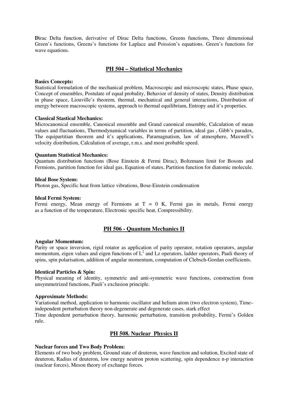Dirac Delta function, derivative of Dirac Delta functions, Greens functions, Three dimensional Green's functions, Greens's functions for Laplace and Poission's equations. Green's functions for wave equations.

## **PH 504 – Statistical Mechanics**

#### **Basics Concepts:**

Statistical formulation of the mechanical problem, Macroscopic and microscopic states, Phase space, Concept of ensembles, Postulate of equal probality, Behavior of density of states, Density distribution in phase space, Liouville's theorem, thermal, mechanical and general interactions, Distribution of energy between macroscopic systems, approach to thermal equilibrium, Entropy and it's properties.

## **Classical Stastical Mechanics:**

Microcanonical ensemble, Canonical ensemble and Grand canonical ensemble, Calculation of mean values and fluctuations, Thermodynamical variables in terms of partition, ideal gas , Gibb's paradox, The equipartitian theorem and it's applications, Paramagnatism, law of atmosphere, Maxwell's velocity distribution, Calculation of average, r.m.s. and most probable speed.

#### **Quantum Statistical Mechanics:**

Quantum distribution functions (Bose Einstein & Fermi Dirac), Boltzmann limit for Bosons and Fermions, partition function for ideal gas, Equation of states, Partition function for diatomic molecule.

#### **Ideal Bose System:**

Photon gas, Specific heat from lattice vibrations, Bose-Einstein condensation

## **Ideal Fermi System:**

Fermi energy, Mean energy of Fermions at  $T = 0$  K, Fermi gas in metals, Fermi energy as a function of the temperature, Electronic specific heat, Compressibility.

## **PH 506 - Quantum Mechanics II**

#### **Angular Momentum:**

Parity or space inversion, rigid rotator as application of parity operator, rotation operators, angular momentum, eigen values and eigen functions of  $L^2$  and Lz operators, ladder operators, Pauli theory of spins, spin polarisation, addition of angular momentum, computation of Clebsch-Gordan coefficients.

#### **Identical Particles & Spin:**

Physical meaning of identity, symmetric and anti-symmetric wave functions, construction from unsymmetrized functions, Pauli's exclusion principle.

#### **Approximate Methods:**

Variational method, application to harmonic oscillator and helium atom (two electron system), Time– independent perturbation theory non-degenerate and degenerate cases, stark effect

Time dependent perturbation theory, harmonic perturbation, transition probability, Fermi's Golden rule.

## **PH 508. Nuclear Physics II**

## **Nuclear forces and Two Body Problem:**

Elements of two body problem, Ground state of deuteron, wave function and solution, Excited state of deuteron, Radius of deuteron, low energy neutron proton scattering, spin dependence n-p interaction (nuclear forces), Meson theory of exchange forces.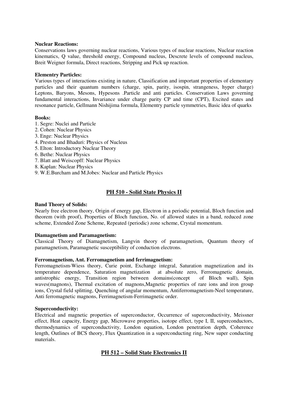## **Nuclear Reactions:**

Conservations laws governing nuclear reactions, Various types of nuclear reactions, Nuclear reaction kinematics, Q value, threshold energy, Compound nucleus, Descrete levels of compound nucleus, Breit Weigner formula, Direct reactions, Stripping and Pick up reaction.

## **Elementry Particles:**

Various types of interactions existing in nature, Classification and important properties of elementary particles and their quantum numbers (charge, spin, parity, isospin, strangeness, hyper charge) Leptons, Baryons, Mesons, Hypesons .Particle and anti particles. Conservation Laws governing fundamental interactions, Invariance under charge parity CP and time (CPT), Excited states and resonance particle, Gellmann Nishijima formula, Elementry particle symmetries, Basic idea of quarks

## **Books:**

- 1. Segre: Nuclei and Particle
- 2. Cohen: Nuclear Physics
- 3. Enge: Nuclear Physics
- 4. Preston and Bhaduri: Physics of Nucleus
- 5. Elton: Introductory Nuclear Theory
- 6. Bethe: Nuclear Physics
- 7. Blatt and Weiscopff: Nuclear Physics
- 8. Kaplan: Nuclear Physics
- 9. W.E.Burcham and M.Jobes: Nuclear and Particle Physics

## **PH 510 - Solid State Physics II**

### **Band Theory of Solids:**

Nearly free electron theory, Origin of energy gap, Electron in a periodic potential, Bloch function and theorem (with proof), Properties of Bloch function, No. of allowed states in a band, reduced zone scheme, Extended Zone Scheme, Repeated (periodic) zone scheme, Crystal momentum.

### **Diamagnetism and Paramagnetism:**

Classical Theory of Diamagnetism, Langvin theory of paramagnetism, Quantum theory of paramagnetism, Paramagnetic susceptibility of conduction electrons.

#### **Ferromagnetism, Ant. Ferromagnetism and ferrimagnetism:**

Ferromagnetism-Wiess theory, Curie point, Exchange integral, Saturation magnetization and its temperature dependence, Saturation magnetization at absolute zero, Ferromagnetic domain, temperature dependence, Saturation magnetization at absolute zero, Ferromagnetic domain, antistrophic energy, Transition region between domains(concept of Bloch wall), Spin antistrophic energy, Transition region between domains(concept waves(magnons), Thermal excitation of magnons,Magnetic properties of rare ions and iron group ions, Crystal field splitting, Quenching of angular momentum, Antiferromagnetism-Neel temperature, Anti ferromagnetic magnons, Ferrimagnetism-Ferrimagnetic order.

#### **Superconductivity:**

Electrical and magnetic properties of superconductor, Occurrence of superconductivity, Meissner effect, Heat capacity, Energy gap, Microwave properties, isotope effect, type I, II, superconductors, thermodynamics of superconductivity, London equation, London penetration depth, Coherence length, Outlines of BCS theory, Flux Quantization in a superconducting ring, New super conducting materials.

## **PH 512 – Solid State Electronics II**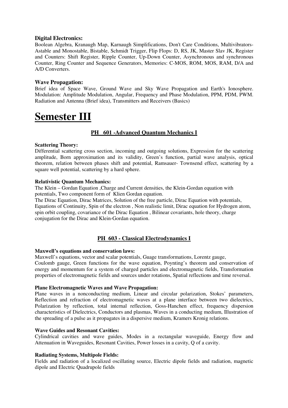## **Digital Electronics:**

Boolean Algebra, Kranaugh Map, Karnaugh Simplifications, Don't Care Conditions, Multivibrators-Astable and Monostable, Bistable, Schmidt Trigger, Flip Flops: D, RS, JK, Master Slav JK, Register and Counters: Shift Register, Ripple Counter, Up-Down Counter, Asynchronous and synchronous Counter, Ring Counter and Sequence Generators, Memories: C-MOS, ROM, MOS, RAM, D/A and A/D Converters.

## **Wave Propagation:**

Brief idea of Space Wave, Ground Wave and Sky Wave Propagation and Earth's Ionosphere. Modulation: Amplitude Modulation, Angular, Frequency and Phase Modulation, PPM, PDM, PWM. Radiation and Antenna (Brief idea), Transmitters and Receivers (Basics)

# **Semester III**

## **PH 601 -Advanced Quantum Mechanics I**

## **Scattering Theory:**

Differential scattering cross section, incoming and outgoing solutions, Expression for the scattering amplitude, Born approximation and its validity, Green's function, partial wave analysis, optical theorem, relation between phases shift and potential, Ramsauer- Townsend effect, scattering by a square well potential, scattering by a hard sphere.

## **Relativistic Quantum Mechanics:**

The Klein – Gordan Equation ,Charge and Current densities, the Klein-Gordan equation with potentials, Two component form of Klien Gordan equation.

The Dirac Equation, Dirac Matrices, Solution of the free particle, Dirac Equation with potentials, Equations of Continuity, Spin of the electron , Non realistic limit, Dirac equation for Hydrogen atom, spin orbit coupling, covariance of the Dirac Equation , Bilinear covariants, hole theory, charge conjugation for the Dirac and Klein-Gordan equation.

## **PH 603 - Classical Electrodynamics I**

## **Maxwell's equations and conservation laws:**

Maxwell's equations, vector and scalar potentials, Guage transformations, Lorentz gauge, Coulomb gauge, Green functions for the wave equation, Poynting's theorem and conservation of

energy and momentum for a system of charged particles and electromagnetic fields, Transformation properties of electromagnetic fields and sources under rotations, Spatial reflections and time reversal.

## **Plane Electromagnetic Waves and Wave Propagation:**

Plane waves in a nonconducting medium, Linear and circular polarization, Stokes' parameters, Reflection and refraction of electromagnetic waves at a plane interface between two dielectrics, Polarization by reflection, total internal reflection, Goss-Hanchen effect, frequency dispersion characteristics of Dielectrics, Conductors and plasmas, Waves in a conducting medium, Illustration of the spreading of a pulse as it propagates in a dispersive medium, Kramers Kronig relations.

## **Wave Guides and Resonant Cavities:**

Cylindrical cavities and wave guides, Modes in a rectangular waveguide, Energy flow and Attenuation in Waveguides, Resonant Cavities, Power losses in a cavity, Q of a cavity.

## **Radiating Systems, Multipole Fields:**

Fields and radiation of a localized oscillating source, Electric dipole fields and radiation, magnetic dipole and Electric Quadrupole fields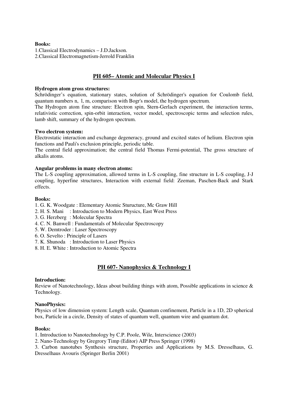## **Books:**

1.Classical Electrodynamics – J.D.Jackson. 2.Classical Electromagnetism-Jerrold Franklin

## **PH 605– Atomic and Molecular Physics I**

## **Hydrogen atom gross structures:**

Schrödinger's equation, stationary states, solution of Schrödinger's equation for Coulomb field, quantum numbers n, l, m, comparison with Bogr's model, the hydrogen spectrum.

The Hydrogen atom fine structure: Electron spin, Stern-Gerlach experiment, the interaction terms, relativistic correction, spin-orbit interaction, vector model, spectroscopic terms and selection rules, lamb shift, summary of the hydrogen spectrum.

## **Two electron system:**

Electrostatic interaction and exchange degeneracy, ground and excited states of helium. Electron spin functions and Pauli's exclusion principle, periodic table.

The central field approximation; the central field Thomas Fermi-potential, The gross structure of alkalis atoms.

## **Angular problems in many electron atoms:**

The L-S coupling approximation, allowed terms in L-S coupling, fine structure in L-S coupling, J-J coupling, hyperfine structures, Interaction with external field: Zeeman, Paschen-Back and Stark effects.

## **Books:**

- 1. G. K. Woodgate : Elementary Atomic Sturucture, Mc Graw Hill
- 2. H. S. Mani : Introduction to Modern Physics, East West Press
- 3. G. Herzberg : Molecular Spectra
- 4. C. N. Banwell : Fundamentals of Molecular Spectroscopy
- 5. W. Demtroder : Laser Spectroscopy
- 6. O. Sevelto : Principle of Lasers
- 7. K. Shunoda : Introduction to Laser Physics
- 8. H. E. White : Introduction to Atomic Spectra

## **PH 607- Nanophysics & Technology I**

## **Introduction:**

Review of Nanotechnology, Ideas about building things with atom, Possible applications in science & Technology.

## **NanoPhysics:**

Physics of low dimension system: Length scale, Quantum confinement, Particle in a 1D, 2D spherical box, Particle in a circle, Density of states of quantum well, quantum wire and quantum dot.

## **Books:**

1. Introduction to Nanotechnology by C.P. Poole, Wile, Interscience (2003)

2. Nano-Technology by Gregrory Timp (Editor) AIP Press Springer (1998)

3. Carbon nanotubes Synthesis structure, Properties and Applications by M.S. Dresselhaus, G. Dresselhaus Avouris (Springer Berlin 2001)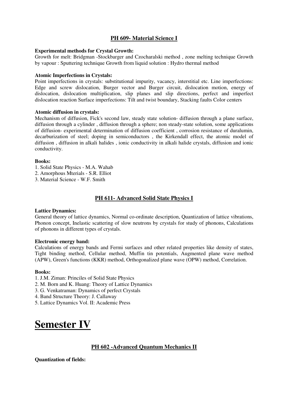## **PH 609- Material Science I**

## **Experimental methods for Crystal Growth:**

Growth for melt: Bridgman -Stockbarger and Czocharalski method , zone melting technique Growth by vapour : Sputtering technique Growth from liquid solution : Hydro thermal method

## **Atomic Imperfections in Crystals:**

Point imperfections in crystals: substitutional impurity, vacancy, interstitial etc. Line imperfections: Edge and screw dislocation, Burger vector and Burger circuit, dislocation motion, energy of dislocation, dislocation multiplication, slip planes and slip directions, perfect and imperfect dislocation reaction Surface imperfections: Tilt and twist boundary, Stacking faults Color centers

## **Atomic diffusion in crystals:**

Mechanism of diffusion, Fick's second law, steady state solution- diffusion through a plane surface, diffusion through a cylinder , diffusion through a sphere; non steady-state solution, some applications of diffusion- experimental determination of diffusion coefficient , corrosion resistance of duralumin, decarburization of steel; doping in semiconductors , the Kirkendall effect, the atomic model of diffusion , diffusion in alkali halides , ionic conductivity in alkali halide crystals, diffusion and ionic conductivity.

## **Books:**

- 1. Solid State Physics M.A. Wahab
- 2. Amorphous Mterials S.R. Elliot
- 3. Material Science W.F. Smith

## **PH 611- Advanced Solid State Physics I**

#### **Lattice Dynamics:**

General theory of lattice dynamics, Normal co-ordinate description, Quantization of lattice vibrations, Phonon concept, Inelastic scattering of slow neutrons by crystals for study of phonons, Calculations of phonons in different types of crystals.

#### **Electronic energy band:**

Calculations of energy bands and Fermi surfaces and other related properties like density of states, Tight binding method, Cellular method, Muffin tin potentials, Augmented plane wave method (APW), Green's functions (KKR) method, Orthogonalized plane wave (OPW) method, Correlation.

#### **Books:**

- 1. J.M. Ziman: Princiles of Solid State Physics
- 2. M. Born and K. Huang: Theory of Lattice Dynamics
- 3. G. Venkatraman: Dynamics of perfect Crystals
- 4. Band Structure Theory: J. Callaway
- 5. Lattice Dynamics Vol. II: Academic Press

# **Semester IV**

## **PH 602 -Advanced Quantum Mechanics II**

## **Quantization of fields:**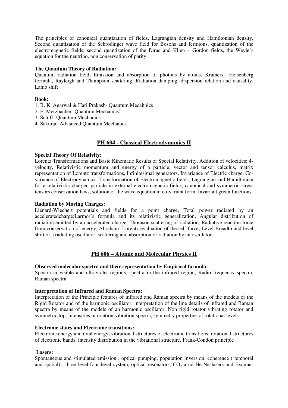The principles of canonical quantization of fields, Lagrangian density and Hamiltonian density, Second quantization of the Schrodinger wave field for Bosons and fermions, quantization of the electromagnetic fields, second quantization of the Dirac and Klien – Gordon fields, the Weyle's equation for the neutrino, non conservation of parity.

## **The Quantum Theory of Radiation:**

Quantum radiation field, Emission and absorption of photons by atoms, Kramers –Heisenberg formula, Rayleigh and Thompson scattering, Radiation damping, dispersion relation and causality, Lamb shift

## **Book:**

- 1. B. K. Agarwal & Hari Prakash- Quantum Mecahnics
- 2. E. Merzbacher- Quantum Mechanics'
- 3. Schiff- Quantum Mechanics
- 4. Sakurai- Advanced Quantum Mechanics

## **PH 604 - Classical Electrodynamics II**

## **Special Theory Of Relativity:**

Lorentz Transformations and Basic Kinematic Results of Special Relativity, Addition of velocities; 4 velocity, Relativistic momentum and energy of a particle, vector and tensor calculus, matrix representation of Lorentz transformations, Infinitesimal generators, Invariance of Electric charge, Covariance of Electrodynamics, Transformation of Electromagnetic fields, Lagrangian and Hamiltonian for a relativistic charged particle in external electromagnetic fields, canonical and symmetric stress tensors conservation laws, solution of the wave equation in co-variant form, Invariant green functions.

## **Radiation by Moving Charges:**

Lienard-Wiechert potentials and fields for a point charge, Total power radiated by an acceleratedcharge:Larmor's formula and its relativistic generalization, Angular distribution of radiation emitted by an accelerated charge, Thomson scattering of radiation, Radiative reaction force from conservation of energy, Abraham- Lorentz evaluation of the self force, Level Breadth and level shift of a radiating oscillator, scattering and absorption of radiation by an oscillator.

## **PH 606 – Atomic and Molecular Physics II**

## **Observed molecular spectra and their representation by Empirical formula:**

Spectra in visible and ultraviolet regions, spectra in the infrared region, Radio frequency spectra, Raman spectra.

## **Interpretation of Infrared and Raman Spectra:**

Interpretation of the Principle features of infrared and Raman spectra by means of the models of the Rigid Rotator and of the harmonic oscillator, interpretation of the line details of infrared and Raman spectra by means of the models of an harmonic oscillator, Non rigid rotator vibrating rotator and symmetric top, Intensities in rotation-vibration spectra, symmetry properties of rotational levels.

## **Electronic states and Electronic transitions:**

Electronic energy and total energy, vibrational structures of electronic transitions, rotational structures of electronic bands, intensity distribution in the vibrational structure, Frank-Condon principle

## **Lasers:**

Spontaneous and stimulated emission , optical pumping, population inversion, coherence ( temporal and spatial), three level-four level system, optical resonators,  $CO<sub>2</sub>$  a nd He-Ne lasers and Excimer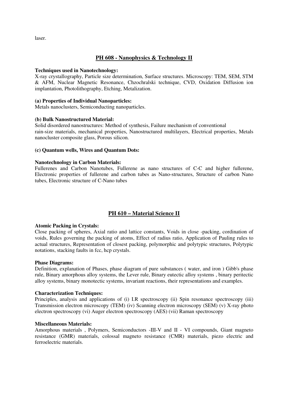laser.

## **PH 608 - Nanophysics & Technology II**

## **Techniques used in Nanotechnology:**

X-ray crystallography, Particle size determination, Surface structures. Microscopy: TEM, SEM, STM & AFM, Nuclear Magnetic Resonance, Chzochralski technique, CVD, Oxidation Diffusion ion implantation, Photolithography, Etching, Metalization.

## **(a) Properties of Individual Nanoparticles:**

Metals nanoclusters, Semiconducting nanoparticles.

## **(b) Bulk Nanostructured Material:**

Solid disordered nanostructures: Method of synthesis, Failure mechanism of conventional rain-size materials, mechanical properties, Nanostructured multilayers, Electrical properties, Metals nanocluster composite glass, Porous silicon.

## **(c) Quantum wells, Wires and Quantum Dots:**

## **Nanotechnology in Carbon Materials:**

Fullerenes and Carbon Nanotubes, Fullerene as nano structures of C-C and higher fullerene, Electronic properties of fullerene and carbon tubes as Nano-structures, Structure of carbon Nano tubes, Electronic structure of C-Nano tubes

## **PH 610 – Material Science II**

#### **Atomic Packing in Crystals:**

Close packing of spheres, Axial ratio and lattice constants, Voids in close -packing, cordination of voids, Rules governing the packing of atoms, Effect of radius ratio, Application of Pauling rules to actual structures, Representation of closest packing, polymorphic and polytypic structures, Polytypic notations, stacking faults in fcc, hcp crystals.

## **Phase Diagrams:**

Definition, explanation of Phases, phase diagram of pure substances ( water, and iron ) Gibb's phase rule, Binary amorphous alloy systems, the Lever rule, Binary eutectic alloy systems , binary peritectic alloy systems, binary monotectic systems, invariant reactions, their representations and examples.

## **Characterization Techniques:**

Principles, analysis and applications of (i) I.R spectroscopy (ii) Spin resonance spectroscopy (iii) Transmission electron microscopy (TEM) (iv) Scanning electron microscopy (SEM) (v) X-ray photo electron spectroscopy (vi) Auger electron spectroscopy (AES) (vii) Raman spectroscopy

#### **Miscellaneous Materials:**

Amorphous materials , Polymers, Semiconductors -III-V and II - VI compounds, Giant magneto resistance (GMR) materials, colossal magneto resistance (CMR) materials, piezo electric and ferroelectric materials.